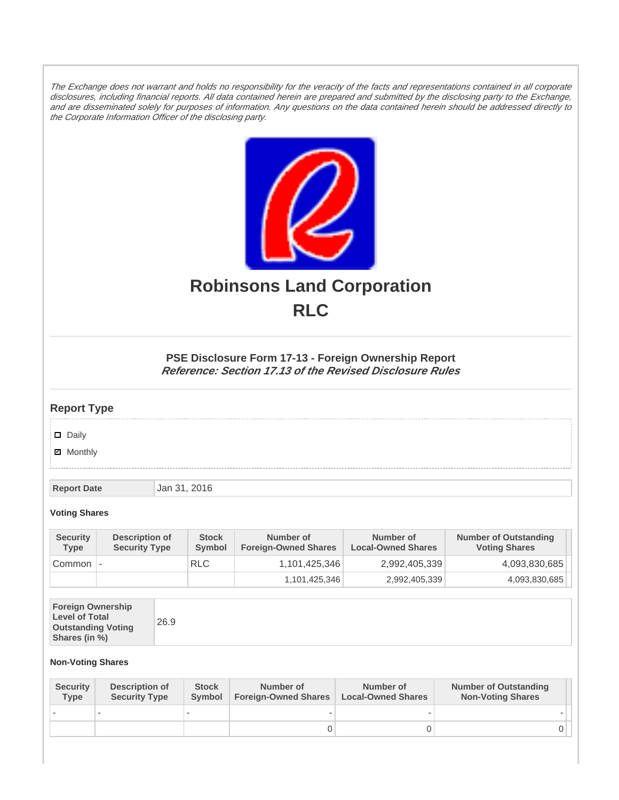The Exchange does not warrant and holds no responsibility for the veracity of the facts and representations contained in all corporate disclosures, including financial reports. All data contained herein are prepared and submitted by the disclosing party to the Exchange, and are disseminated solely for purposes of information. Any questions on the data contained herein should be addressed directly to the Corporate Information Officer of the disclosing party.



# **Robinsons Land Corporation RLC**

## **PSE Disclosure Form 17-13 - Foreign Ownership Report Reference: Section 17.13 of the Revised Disclosure Rules**

## **Report Type**

Daily

**Ø** Monthly

**Report Date Jan 31, 2016** 

#### **Voting Shares**

| <b>Security</b><br><b>Type</b> | Description of<br><b>Security Type</b> | <b>Stock</b><br>Symbol | Number of<br><b>Foreign-Owned Shares</b> | Number of<br><b>Local-Owned Shares</b> | <b>Number of Outstanding</b><br><b>Voting Shares</b> |
|--------------------------------|----------------------------------------|------------------------|------------------------------------------|----------------------------------------|------------------------------------------------------|
| Common                         | $\overline{\phantom{a}}$               | <b>RLC</b>             | 1,101,425,346                            | 2,992,405,339                          | 4,093,830,685                                        |
|                                |                                        |                        | 1,101,425,346                            | 2,992,405,339                          | 4,093,830,685                                        |

| <b>Foreign Ownership</b><br><b>Level of Total</b><br><b>Outstanding Voting</b><br>Shares (in %) |
|-------------------------------------------------------------------------------------------------|
|-------------------------------------------------------------------------------------------------|

### **Non-Voting Shares**

| <b>Security</b><br><b>Type</b> | Description of<br><b>Security Type</b> | <b>Stock</b><br>Symbol | Number of<br><b>Foreign-Owned Shares</b> | Number of<br><b>Local-Owned Shares</b> | <b>Number of Outstanding</b><br><b>Non-Voting Shares</b> |
|--------------------------------|----------------------------------------|------------------------|------------------------------------------|----------------------------------------|----------------------------------------------------------|
|                                |                                        |                        |                                          |                                        |                                                          |
|                                |                                        |                        |                                          |                                        | 0 I                                                      |